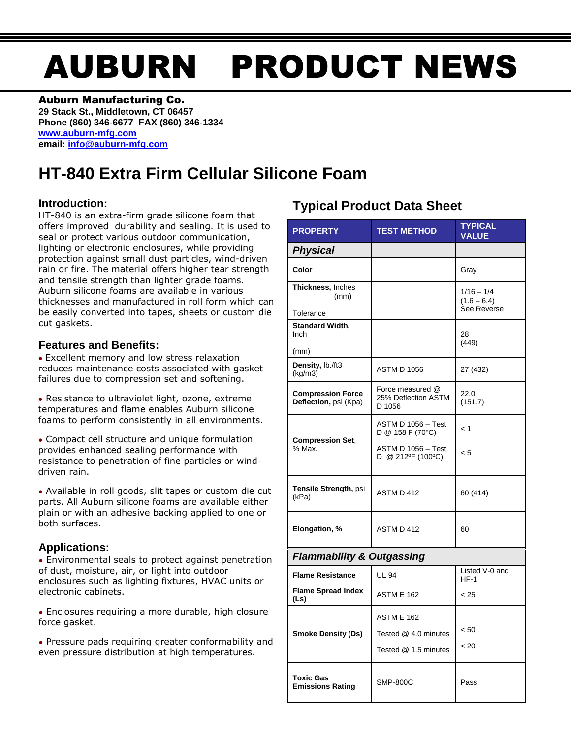# AUBURN PRODUCT NEWS

### Auburn Manufacturing Co.

**29 Stack St., Middletown, CT 06457 Phone (860) 346-6677 FAX (860) 346-1334 [www.auburn-mfg.com](http://www.auburn-mfg.com/) email: [info@auburn-mfg.com](mailto:info@auburn-mfg.com)**

## **HT-840 Extra Firm Cellular Silicone Foam**

## **Introduction:**

HT-840 is an extra-firm grade silicone foam that offers improved durability and sealing. It is used to seal or protect various outdoor communication, lighting or electronic enclosures, while providing protection against small dust particles, wind-driven rain or fire. The material offers higher tear strength and tensile strength than lighter grade foams. Auburn silicone foams are available in various thicknesses and manufactured in roll form which can be easily converted into tapes, sheets or custom die cut gaskets.

## **Features and Benefits:**

**●** Excellent memory and low stress relaxation reduces maintenance costs associated with gasket failures due to compression set and softening.

**●** Resistance to ultraviolet light, ozone, extreme temperatures and flame enables Auburn silicone foams to perform consistently in all environments.

**●** Compact cell structure and unique formulation provides enhanced sealing performance with resistance to penetration of fine particles or winddriven rain.

**●** Available in roll goods, slit tapes or custom die cut parts. All Auburn silicone foams are available either plain or with an adhesive backing applied to one or both surfaces.

## **Applications:**

**●** Environmental seals to protect against penetration of dust, moisture, air, or light into outdoor enclosures such as lighting fixtures, HVAC units or electronic cabinets.

**●** Enclosures requiring a more durable, high closure force gasket.

**●** Pressure pads requiring greater conformability and even pressure distribution at high temperatures.

## **Typical Product Data Sheet**

| <b>PROPERTY</b>                                   | <b>TEST METHOD</b>                                                                | <b>TYPICAL</b><br><b>VALUE</b>               |  |  |  |
|---------------------------------------------------|-----------------------------------------------------------------------------------|----------------------------------------------|--|--|--|
| <b>Physical</b>                                   |                                                                                   |                                              |  |  |  |
| Color                                             |                                                                                   | Gray                                         |  |  |  |
| Thickness, Inches<br>(mm)<br>Tolerance            |                                                                                   | $1/16 - 1/4$<br>$(1.6 - 6.4)$<br>See Reverse |  |  |  |
| Standard Width,<br>Inch<br>(mm)                   |                                                                                   | 28<br>(449)                                  |  |  |  |
| Density, lb./ft3<br>(kg/m3)                       | <b>ASTM D 1056</b>                                                                | 27 (432)                                     |  |  |  |
| <b>Compression Force</b><br>Deflection, psi (Kpa) | Force measured @<br>25% Deflection ASTM<br>D 1056                                 | 22.0<br>(151.7)                              |  |  |  |
| <b>Compression Set,</b><br>% Max.                 | ASTM D 1056 - Test<br>D @ 158 F (70°C)<br>ASTM D 1056 - Test<br>D @ 212°F (100°C) | < 1<br>< 5                                   |  |  |  |
| Tensile Strength, psi<br>(kPa)                    | ASTM D 412                                                                        | 60 (414)                                     |  |  |  |
| Elongation, %                                     | ASTM D 412                                                                        | 60                                           |  |  |  |
| <b>Flammability &amp; Outgassing</b>              |                                                                                   |                                              |  |  |  |
| <b>Flame Resistance</b>                           | <b>UL 94</b>                                                                      | Listed V-0 and<br>$HF-1$                     |  |  |  |
| <b>Flame Spread Index</b><br>(Ls)                 | <b>ASTM E 162</b>                                                                 | < 25                                         |  |  |  |
| <b>Smoke Density (Ds)</b>                         | <b>ASTM E 162</b><br>Tested @ 4.0 minutes<br>Tested @ 1.5 minutes                 | < 50<br>< 20                                 |  |  |  |
| <b>Toxic Gas</b><br><b>Emissions Rating</b>       | <b>SMP-800C</b>                                                                   | Pass                                         |  |  |  |